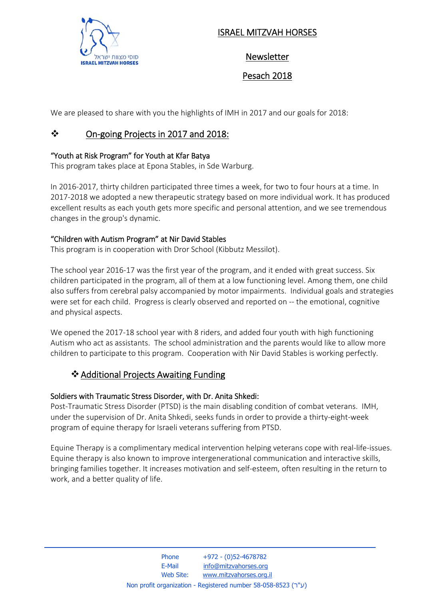

## ISRAEL MITZVAH HORSES

Newsletter

Pesach 2018

We are pleased to share with you the highlights of IMH in 2017 and our goals for 2018:

# On‐going Projects in 2017 and 2018:

### "Youth at Risk Program" for Youth at Kfar Batya

This program takes place at Epona Stables, in Sde Warburg.

In 2016‐2017, thirty children participated three times a week, for two to four hours at a time. In 2017‐2018 we adopted a new therapeutic strategy based on more individual work. It has produced excellent results as each youth gets more specific and personal attention, and we see tremendous changes in the group's dynamic.

### "Children with Autism Program" at Nir David Stables

This program is in cooperation with Dror School (Kibbutz Messilot).

The school year 2016‐17 was the first year of the program, and it ended with great success. Six children participated in the program, all of them at a low functioning level. Among them, one child also suffers from cerebral palsy accompanied by motor impairments. Individual goals and strategies were set for each child. Progress is clearly observed and reported on -- the emotional, cognitive and physical aspects.

We opened the 2017-18 school year with 8 riders, and added four youth with high functioning Autism who act as assistants. The school administration and the parents would like to allow more children to participate to this program. Cooperation with Nir David Stables is working perfectly.

### ❖ Additional Projects Awaiting Funding

### Soldiers with Traumatic Stress Disorder, with Dr. Anita Shkedi:

Post-Traumatic Stress Disorder (PTSD) is the main disabling condition of combat veterans. IMH, under the supervision of Dr. Anita Shkedi, seeks funds in order to provide a thirty‐eight‐week program of equine therapy for Israeli veterans suffering from PTSD.

Equine Therapy is a complimentary medical intervention helping veterans cope with real‐life‐issues. Equine therapy is also known to improve intergenerational communication and interactive skills, bringing families together. It increases motivation and self‐esteem, often resulting in the return to work, and a better quality of life.